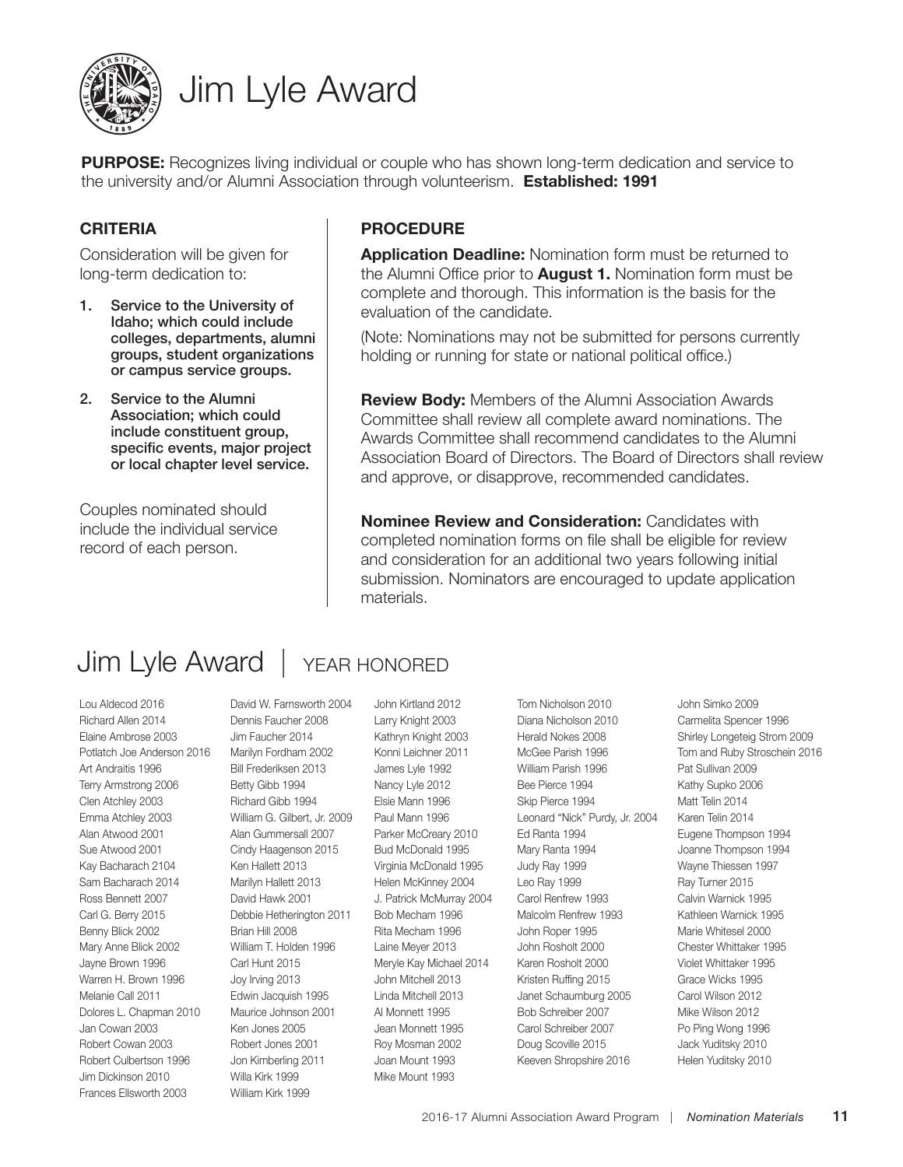

# Jim Lyle Award

**PURPOSE:** Recognizes living individual or couple who has shown long-term dedication and service to the university and/or Alumni Association through volunteerism. **Established: 1991**

### **CRITERIA**

Consideration will be given for long-term dedication to:

- 1. Service to the University of Idaho; which could include colleges, departments, alumni groups, student organizations or campus service groups.
- 2. Service to the Alumni Association; which could include constituent group, specific events, major project or local chapter level service.

Couples nominated should include the individual service record of each person.

### **PROCEDURE**

**Application Deadline:** Nomination form must be returned to the Alumni Office prior to **August 1.** Nomination form must be complete and thorough. This information is the basis for the evaluation of the candidate.

(Note: Nominations may not be submitted for persons currently holding or running for state or national political office.)

**Review Body:** Members of the Alumni Association Awards Committee shall review all complete award nominations. The Awards Committee shall recommend candidates to the Alumni Association Board of Directors. The Board of Directors shall review and approve, or disapprove, recommended candidates.

**Nominee Review and Consideration:** Candidates with completed nomination forms on file shall be eligible for review and consideration for an additional two years following initial submission. Nominators are encouraged to update application materials.

# Jim Lyle Award | YEAR HONORED

Lou Aldecod 2016 Richard Allen 2014 Elaine Ambrose 2003 Potlatch Joe Anderson 2016 Art Andraitis 1996 Terry Armstrong 2006 Clen Atchley 2003 Emma Atchley 2003 Alan Atwood 2001 Sue Atwood 2001 Kay Bacharach 2104 Sam Bacharach 2014 Ross Bennett 2007 Carl G. Berry 2015 Benny Blick 2002 Mary Anne Blick 2002 Jayne Brown 1996 Warren H. Brown 1996 Melanie Call 2011 Dolores L. Chapman 2010 Jan Cowan 2003 Robert Cowan 2003 Robert Culbertson 1996 Jim Dickinson 2010 Frances Ellsworth 2003

David W. Farnsworth 2004 Dennis Faucher 2008 Jim Faucher 2014 Marilyn Fordham 2002 Bill Frederiksen 2013 Betty Gibb 1994 Richard Gibb 1994 William G. Gilbert, Jr. 2009 Alan Gummersall 2007 Cindy Haagenson 2015 Ken Hallett 2013 Marilyn Hallett 2013 David Hawk 2001 Debbie Hetherington 2011 Brian Hill 2008 William T. Holden 1996 Carl Hunt 2015 Joy Irving 2013 Edwin Jacquish 1995 Maurice Johnson 2001 Ken Jones 2005 Robert Jones 2001 Jon Kimberling 2011 Willa Kirk 1999 William Kirk 1999

John Kirtland 2012 Larry Knight 2003 Kathryn Knight 2003 Konni Leichner 2011 James Lyle 1992 Nancy Lyle 2012 Elsie Mann 1996 Paul Mann 1996 Parker McCreary 2010 Bud McDonald 1995 Virginia McDonald 1995 Helen McKinney 2004 J. Patrick McMurray 2004 Bob Mecham 1996 Rita Mecham 1996 Laine Meyer 2013 Meryle Kay Michael 2014 John Mitchell 2013 Linda Mitchell 2013 Al Monnett 1995 Jean Monnett 1995 Roy Mosman 2002 Joan Mount 1993 Mike Mount 1993

Tom Nicholson 2010 Diana Nicholson 2010 Herald Nokes 2008 McGee Parish 1996 William Parish 1996 Bee Pierce 1994 Skip Pierce 1994 Leonard "Nick" Purdy, Jr. 2004 Ed Ranta 1994 Mary Ranta 1994 Judy Ray 1999 Leo Ray 1999 Carol Renfrew 1993 Malcolm Renfrew 1993 John Roper 1995 John Rosholt 2000 Karen Rosholt 2000 Kristen Ruffing 2015 Janet Schaumburg 2005 Bob Schreiber 2007 Carol Schreiber 2007 Doug Scoville 2015 Keeven Shropshire 2016

John Simko 2009 Carmelita Spencer 1996 Shirley Longeteig Strom 2009 Tom and Ruby Stroschein 2016 Pat Sullivan 2009 Kathy Supko 2006 Matt Telin 2014 Karen Telin 2014 Eugene Thompson 1994 Joanne Thompson 1994 Wayne Thiessen 1997 Ray Turner 2015 Calvin Warnick 1995 Kathleen Warnick 1995 Marie Whitesel 2000 Chester Whittaker 1995 Violet Whittaker 1995 Grace Wicks 1995 Carol Wilson 2012 Mike Wilson 2012 Po Ping Wong 1996 Jack Yuditsky 2010 Helen Yuditsky 2010